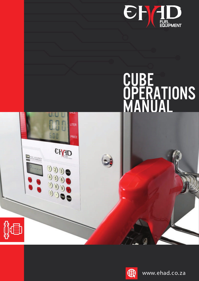

# **CUBE** OPERATIONS MANUAL



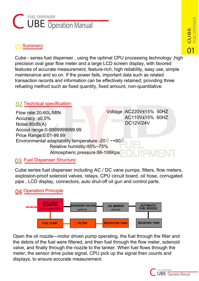# FUEL DISPENSER **C UBE Operation Manual**

#### Summary: **01**

Cube - series fuel dispenser , using the optimal CPU processing technology ,high precision oval gear flow meter and a large LCD screen display, with favored features of accurate measurement, feature-rich, high reliability, easy use, simple maintenance and so on. If the power fails, important data such as related transaction records and information can be effectively retained; providing three refueling method such as fixed quantity, fixed amount, non-quantitative.

### Technical specification: **02**

| Flow rate: 20-60L/MIN                                                         | Voltage: AC220V±15% 50HZ |
|-------------------------------------------------------------------------------|--------------------------|
| Accuracy: ±0.5%                                                               | AC110V±15% 60HZ          |
| Noise:80dB(A)                                                                 | <b>DC12V/24V</b>         |
| Accout range: 0-9999999999.99                                                 |                          |
| Price Range: 0.01-99.99                                                       |                          |
| Environmental adaptability: temperature -20 $\degree$ $\degree$ +60 $\degree$ |                          |
| Relative humidity:45%~75%                                                     |                          |
| Atmospheric pressure:86-106Kpa                                                |                          |

# **03** Fuel Dispenser Structure:

Cube series fuel dispenser including AC / DC vane pumps, filters, flow meters, explosion-proof solenoid valves, relays, CPU circuit board, oil hose, corrugated pipe , LCD display, connectors, auto shut-off oil gun and control parts.

# **04** Operation Principle



Open the oil nozzle---motor driven pump operating, the fuel through the filter and the debris of the fuel were filtered, and then fuel through the flow meter, solenoid valve, and finally through the nozzle to the tanker. When fuel flows through the meter, the sensor drive pulse signal, CPU pick up the signal then counts and displays, to ensure accurate measurement.

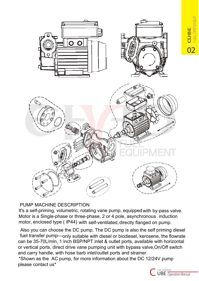

#### PUMP MACHINE DESCRIPTION

It's a self-priming, volumetric, rotating vane pump, equipped with by-pass valve. Motor is a Single-phase or three-phase, 2 or 4 pole, asynchronous induction motor, enclosed type ( IP44) with self-ventilated,directly flanged on pump.

Also you can choose the DC pump, The DC pump is also the self priming diesel fuel transfer pump---only suitable with diesel or biodiesel, kerosene, the flowrate can be 35-70L/min, 1 inch BSP/NPT inlet & outlet ports, available with horizontal or vertical ports, direct drive vane pumping unit with bypass valve,On/Off switch and carry handle, with hose barb inlet/outlet ports and strainer.

\*Shown as the AC pump, for more information about the DC 12/24V pump please contact us\*



**02KOEO** 

**CU B**

**E**

**FUELDISPENSE**

**R**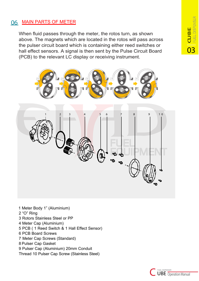#### **06** MAIN PARTS OF METER

When fluid passes through the meter, the rotos turn, as shown above. The magnets which are located in the rotos will pass across the pulser circuit board which is containing either reed switches or hall effect sensors. A signal is then sent by the Pulse Circuit Board (PCB) to the relevant LC display or receiving instrument.



1 Meter Body 1" (Aluminium)

- 2 "O" Ring
- 3 Rotors Stainless Steel or PP
- 4 Meter Cap (Aluminium)
- 5 PCB ( 1 Reed Switch & 1 Hall Effect Sensor)
- 6 PCB Board Screws
- 7 Meter Cap Screws (Standard)
- 8 Pulser Cap Gasket
- 9 Pulser Cap (Aluminium) 20mm Conduit
- Thread 10 Pulser Cap Screw (Stainless Steel)



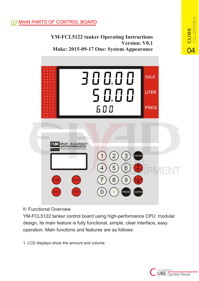#### **07** MAIN PARTS OF CONTROL BOARD

**YM-FCL5122 tanker Operating Instructions Version: V0.1 Make: 2015-09-17 One: System Appearance**



#### II: Functional Overview

YM-FCL5122 tanker control board using high-performance CPU, modular design, its main feature is fully functional, simple, clear interface, easy operation. Main functions and features are as follows:

1. LCD displays show the amount and volume.



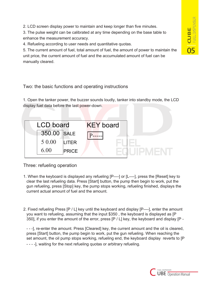2. LCD screen display power to maintain and keep longer than five minutes.

3. The pulse weight can be calibrated at any time depending on the base table to enhance the measurement accuracy.

4. Refueling according to user needs and quantitative quotas.

5. The current amount of fuel, total amount of fuel, the amount of power to maintain the unit price, the current amount of fuel and the accumulated amount of fuel can be manually cleared.

#### Two: the basic functions and operating instructions

1. Open the tanker power, the buzzer sounds loudly, tanker into standby mode, the LCD display fuel data before the last power-down.



Three: refueling operation

- 1. When the keyboard is displayed any refueling [P----] or [L----], press the [Reset] key to clear the last refueling data. Press [Start] button, the pump then begin to work, put the gun refueling, press [Stop] key, the pump stops working, refueling finished, displays the current actual amount of fuel and the amount.
- 2. Fixed refueling Press [P / L] key until the keyboard and display [P----], enter the amount you want to refueling, assuming that the input \$350 , the keyboard is displayed as [P 350], if you enter the amount of the error, press [P / L] key, the keyboard and display [P -

- - - -], waiting for the next refueling quotas or arbitrary refueling. - - -], re-enter the amount. Press [Cleared] key, the current amount and the oil is cleared, press [Start] button, the pump begin to work, put the gun refueling. When reaching the set amount, the oil pump stops working, refueling end, the keyboard display reverts to [P

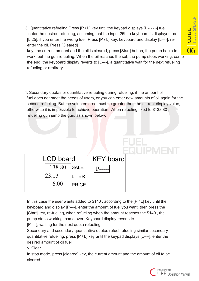3. Quantitative refueling Press [P / L] key until the keypad displays [L - - - -] fuel, enter the desired refueling, assuming that the input 25L, a keyboard is displayed as [L 25], if you enter the wrong fuel, Press [P / L] key, keyboard and display [L----], reenter the oil. Press [Cleared]

key, the current amount and the oil is cleared, press [Start] button, the pump begin to work, put the gun refueling. When the oil reaches the set, the pump stops working, come the end, the keyboard display reverts to [L----], a quantitative wait for the next refueling refueling or arbitrary.

4. Secondary quotas or quantitative refueling during refueling, if the amount of fuel does not meet the needs of users, or you can enter new amounts of oil again for the second refueling. But the value entered must be greater than the current display value, otherwise it is impossible to achieve operation. When refueling fixed to \$138.80 , refueling gun jump the gun, as shown below:

In this case the user wants added to \$140 , according to the [P / L] key until the keyboard and display [P----], enter the amount of fuel you want, then press the [Start] key, re-fueling, when refueling when the amount reaches the \$140 , the pump stops working, come over. Keyboard display reverts to

[P----], waiting for the next quota refueling.

23.13

6.00

 $138.80$  SALE  $p_{--}$ 

SALE

LCD board KEY board

PRICE

LITER

Secondary and secondary quantitative quotas refuel refueling similar secondary quantitative refueling, press [P / L] key until the keypad displays [L----], enter the desired amount of oil fuel.

5. Clear

In stop mode, press [cleared] key, the current amount and the amount of oil to be cleared.

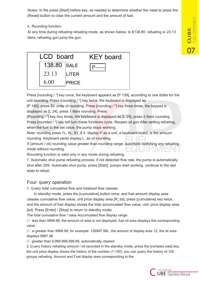Notes: In the press [Start] before key, as needed to determine whether the need to press the [Reset] button to clear the current amount and the amount of fuel.

#### 6. Rounding function

At any time during refueling refueling mode, as shown below, to \$138.80 refueling or 23.13 liters, refueling gun jump the gun.



Press [rounding / \*] key once, the keyboard appears as [P 139], according to one dollar for the unit rounding. Press [rounding / \*] key twice, the keyboard is displayed as

[P 140], press \$5 units of rounding. Press [rounding / \*] key three times, the keypad is displayed as [L 24], press 1 liters rounding. Press

[Rounding / \*] key four times, the keyboard is displayed as [L 25], press 5 liters rounding. Press [rounded / \*] key will turn these functions cycle. Reopen oil gun After setting refueling, when the fuel to the set value, the pump stops working.

Note: rounding press 1L, 5L, \$1 ,\$ 5 display P as a unit, a keyboard board, is the amount rounding. Keyboard panel display L, as oil rounding.

If (amount / oil) rounding value greater than rounding range, automatic switching any refueling mode without rounding.

Rounding function is valid only in any mode during refueling.

7. Automatic shut pump refueling process, if not detected flow rate, the pump is automatically shut after 20S. Automatic shut pump, press [Start], pumps start working, continue to the last state to refuel.

#### Four: query operation

1. Query total cumulative flow and totalized flow classes

In standby mode, press the [cumulative] button once, and fuel amount display area classes cumulative flow value, unit price display area [R\_tol], press [cumulative] key twice, and the amount of fuel display shows the total accumulated flow value, unit price display area [tol]. Press [Enter] / [Stop] to return to standby mode.

The total cumulative flow / class Accumulated flow display range:

1) less than 9999.99, the amount of area is not displayed, fuel oil area displays the corresponding value

2) is greater than 9999.99, for example: 129997.98L, the amount of display area 12, the oil area displays 9997.98

3) greater than 9,999,999,999.99, automatically cleared

2. Query history refueling amount / oil recorded in the standby mode, press the [complex was] key, the unit price display shows the history of the number (1-100), you can query the history of 100 groups refueling. Amount and Fuel display area corresponding to the

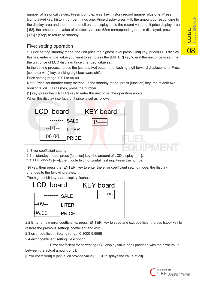**08**<br> **CUBE**<br> **ELE**<br> **RIFIDISPE FUELDISPENSE R CU B E**

number of historical values. Press [complex was] key, history record number plus one. Press [cumulative] key, history number minus one. Price display area [--1], the amount corresponding to the display area and the amount of oil on the display once the record value, unit price display area [-52], the amount and value of oil display record 52nd corresponding area is displayed, press [ OK] / [Stop] to return to standby.

#### Five: setting operation

1. Price setting standby mode, the unit price the highest level press [Unit] key, priced LCD display flashes, enter single value you want to set, press the [ENTER] key to end the unit price is set, then the unit price of LCD displays Price changed value set.

In the setting process, press the [cumulative] button, the flashing digit forward displacement. Press [complex was] key, blinking digit backward shift.

Price setting range: 0.01 to 99.99.

Note: Price set another entry method, in the standby mode, press [function] key, the middle two horizontal oil LCD flashes, press the number

[1] key, press the [ENTER] key to enter the unit price, the operation above.

When the display interface unit price is set as follows:



#### 2. E rror coefficient setting

2.1 In standby mode, press [function] key, the amount of LCD display [----], fuel LCD display [----], the middle two horizontal flashing. Press the number

[9] key, then press the [ENTER] key to enter the error coefficient setting mode, the display changes to the following states.

The highest bit keyboard display flashes.



2.2 Enter a new error coefficients, press [ENTER] key to save and exit coefficient, press [stop] key to restore the previous settings coefficient and exit.

- 2.3 error coefficient Setting range: 0.1000-9.9999
- 2.4 error coefficient setting Description

 Error coefficient for correcting LCD display value of oil provided with the error value between the actual amount of oil.

[Error coefficient] = [actual oil provide value] / [LCD displays the value of oil]

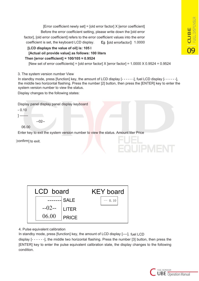[Error coefficient newly set] = [old error factor] X [error coefficient] Before the error coefficient setting, please write down the [old error factor], [old error coefficient] refers to the error coefficient values into the error coefficient is set, the keyboard LCD display. Eg. [old error factor] 1.0000

#### **[LCD displays the value of oil] is: 105 l [Actual oil provide value] as follows: 100 liters Then [error coefficient] = 100/105 ≈ 0.9524**

[New set of error coefficients] = [old error factor]  $X$  [error factor] = 1.0000  $X$  0.9524 = 0.9524

3. The system version number View

In standby mode, press [function] key, the amount of LCD display [- - - - - -], fuel LCD display [- - - - - -], the middle two horizontal flashing. Press the number [2] button, then press the [ENTER] key to enter the system version number to view the status.

Display changes to the following states:

Display panel display panel display keyboard

 $- 0.10$ 

] -------

06.00

--02--

Enter key to exit the system version number to view the status. Amount liter Price

[confirm] to exit.



#### 4. Pulse equivalent calibration

In standby mode, press [function] key, the amount of LCD display [----], fuel LCD

display [- - - - - -], the middle two horizontal flashing. Press the number [3] button, then press the [ENTER] key to enter the pulse equivalent calibration state, the display changes to the following condition.



**UIPMEN**